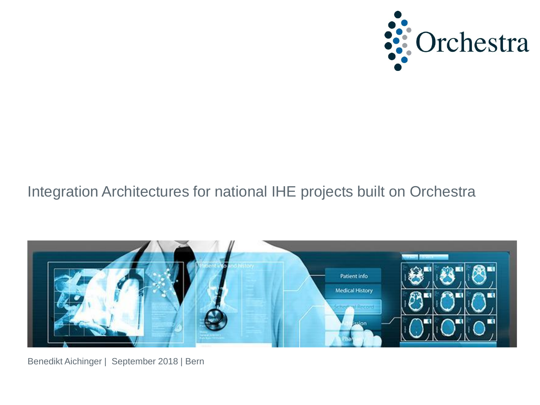

# Integration Architectures for national IHE projects built on Orchestra



Benedikt Aichinger | September 2018 | Bern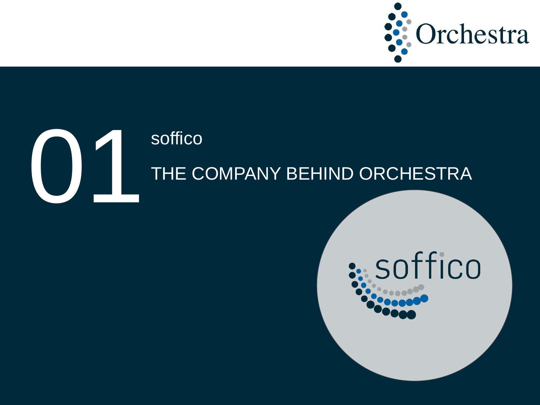

# ON Soffico<br>THE C THE COMPANY BEHIND ORCHESTRA

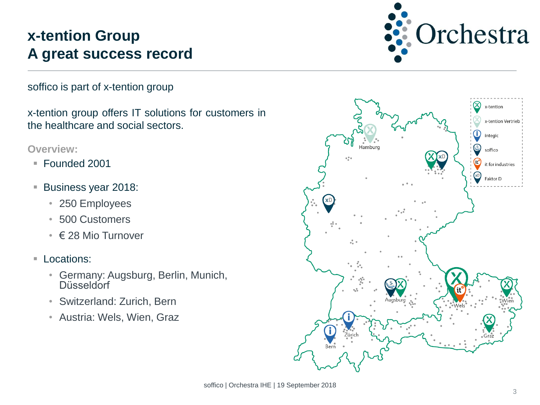# **x-tention Group A great success record**

Orchestra

soffico is part of x-tention group

x-tention group offers IT solutions for customers in the healthcare and social sectors.

#### **Overview:**

- Founded 2001
- **Business year 2018:** 
	- 250 Employees
	- 500 Customers
	- € 28 Mio Turnover
- **Locations:** 
	- Germany: Augsburg, Berlin, Munich, **Düsseldorf**
	- Switzerland: Zurich, Bern
	- Austria: Wels, Wien, Graz

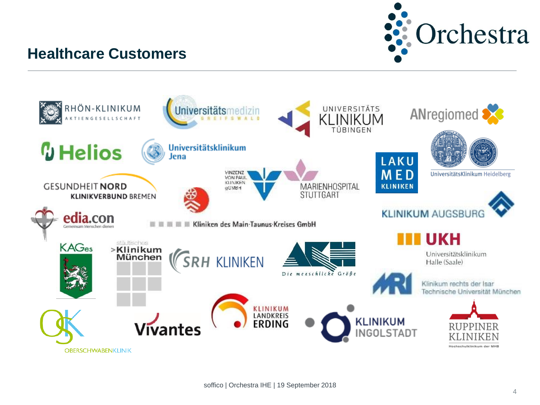

### **Healthcare Customers**

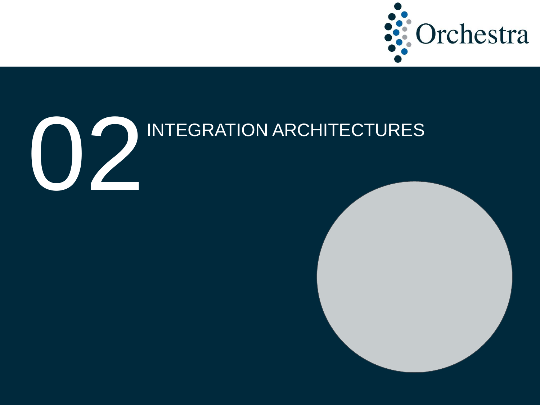



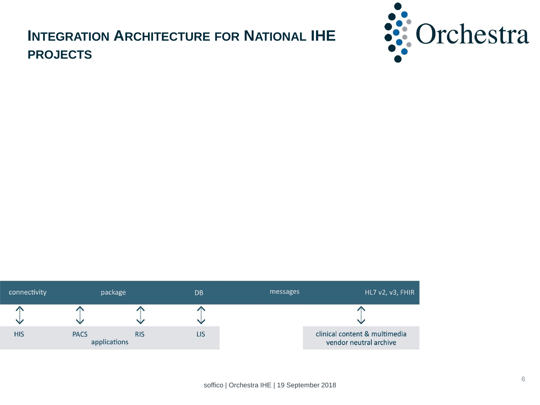# **INTEGRATION ARCHITECTURE FOR NATIONAL IHE PROJECTS**



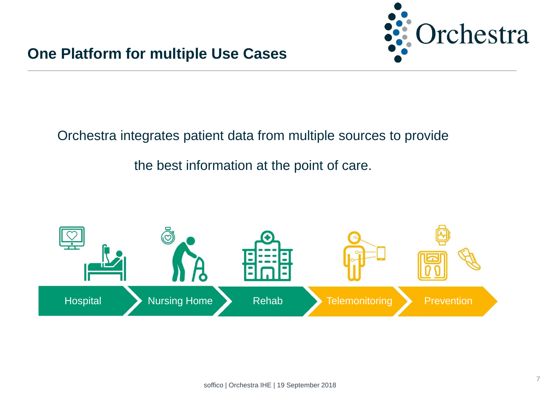

#### Orchestra integrates patient data from multiple sources to provide

#### the best information at the point of care.

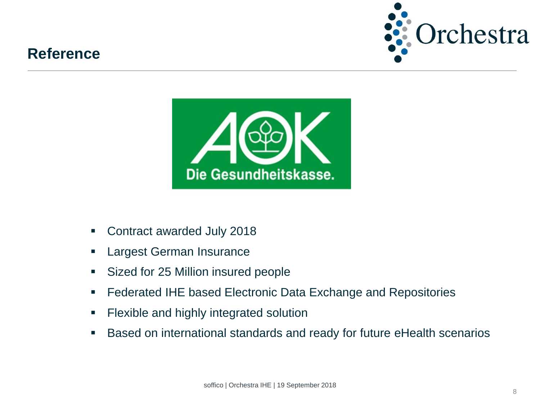# **Reference**





- Contract awarded July 2018
- Largest German Insurance
- **Sized for 25 Million insured people**
- **Federated IHE based Electronic Data Exchange and Repositories**
- **Flexible and highly integrated solution**
- Based on international standards and ready for future eHealth scenarios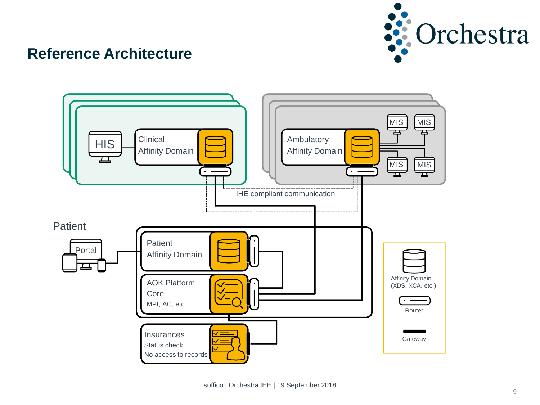

# **Reference Architecture**